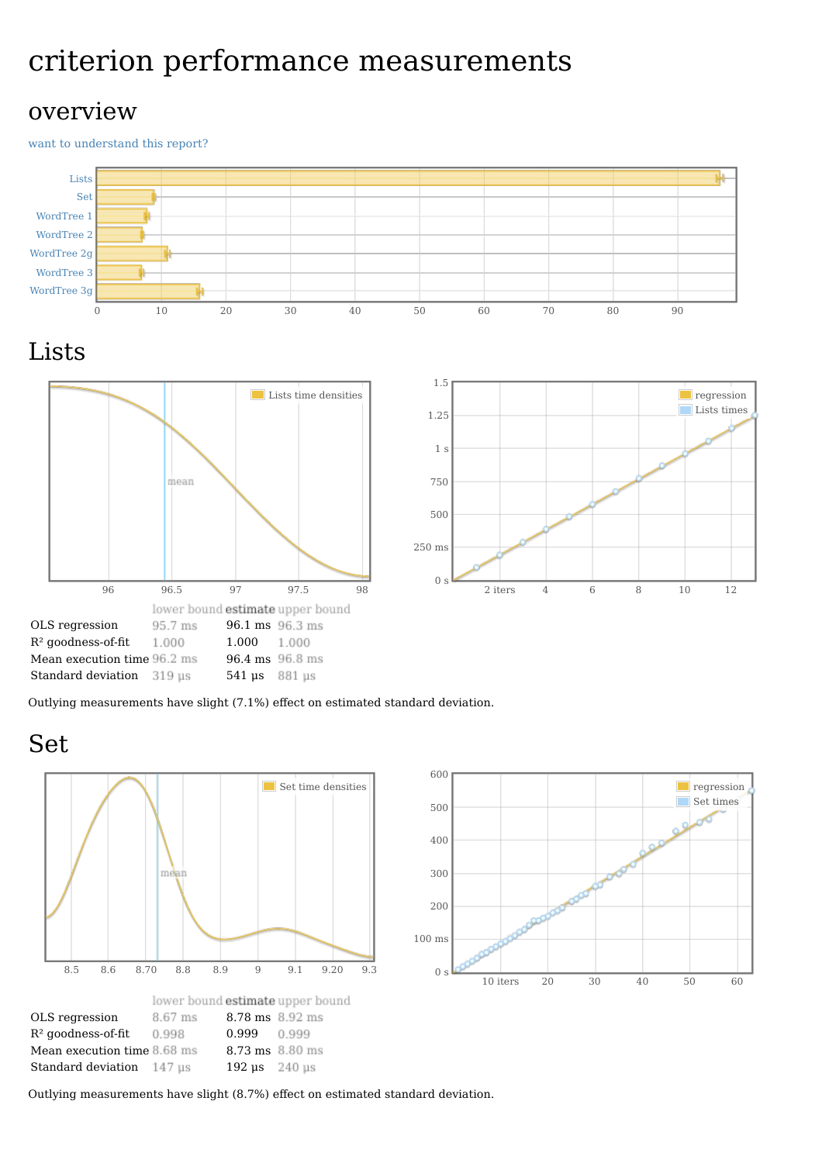# criterion performance measurements

#### overview

want to [understand](file:///home/jean-luc/Programmation/Haskell/Benchmark/Words/report-Voyage-full1.html#grokularation) this report?







Outlying measurements have slight (7.1%) effect on estimated standard deviation.







Outlying measurements have slight (8.7%) effect on estimated standard deviation.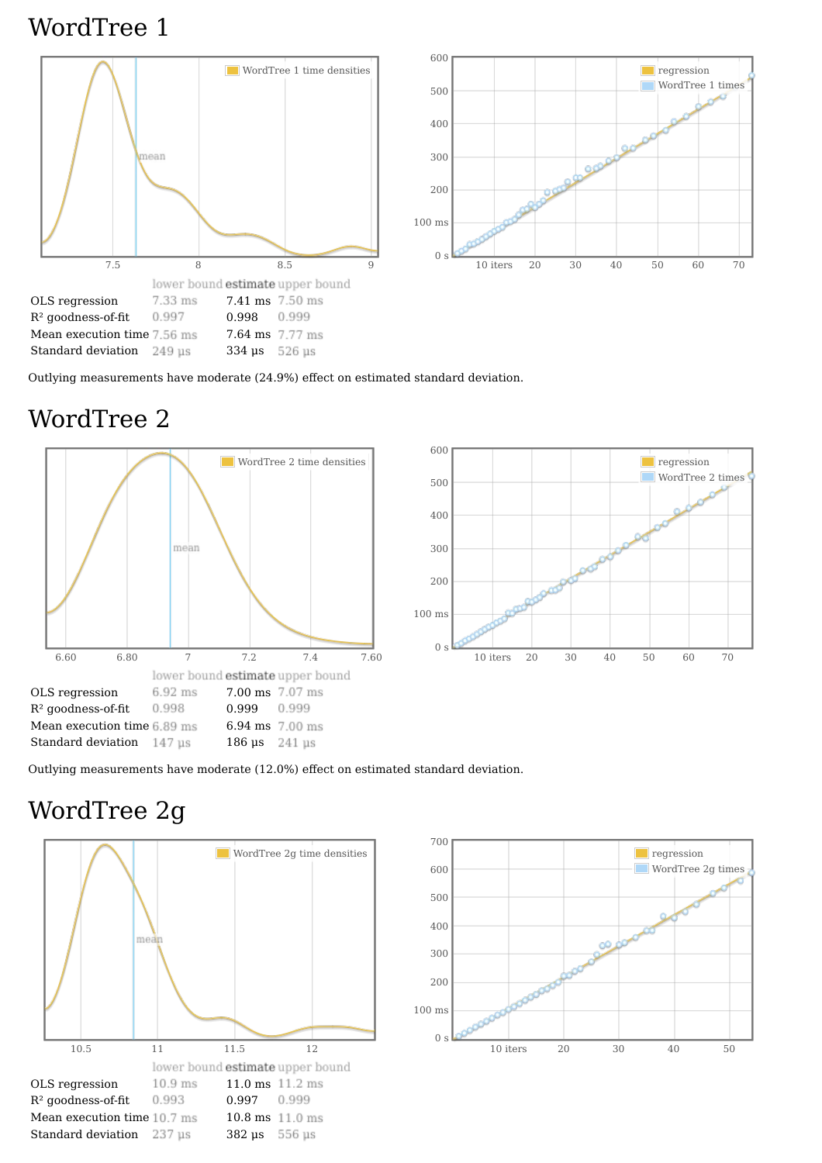### WordTree 1





Outlying measurements have moderate (24.9%) effect on estimated standard deviation.

## WordTree 2





Outlying measurements have moderate (12.0%) effect on estimated standard deviation.

# WordTree 2g



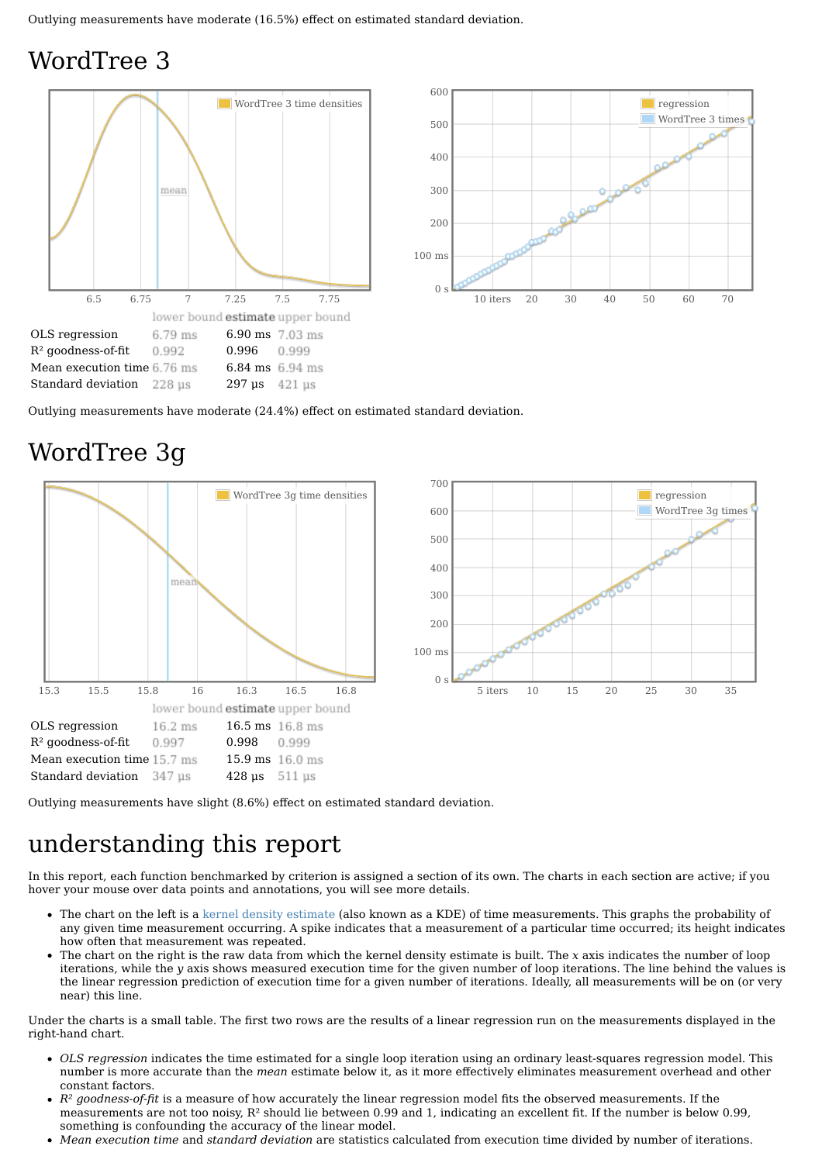## WordTree 3





Outlying measurements have moderate (24.4%) effect on estimated standard deviation.

### WordTree 3g





Outlying measurements have slight (8.6%) effect on estimated standard deviation.

### understanding this report

In this report, each function benchmarked by criterion is assigned a section of its own. The charts in each section are active; if you hover your mouse over data points and annotations, you will see more details.

- The chart on the left is a kernel density [estimate](http://en.wikipedia.org/wiki/Kernel_density_estimation) (also known as a KDE) of time measurements. This graphs the probability of any given time measurement occurring. A spike indicates that a measurement of a particular time occurred; its height indicates how often that measurement was repeated.
- The chart on the right is the raw data from which the kernel density estimate is built. The *x* axis indicates the number of loop iterations, while the *y* axis shows measured execution time for the given number of loop iterations. The line behind the values is the linear regression prediction of execution time for a given number of iterations. Ideally, all measurements will be on (or very near) this line.

Under the charts is a small table. The first two rows are the results of a linear regression run on the measurements displayed in the right-hand chart.

- *OLS regression* indicates the time estimated for a single loop iteration using an ordinary least-squares regression model. This number is more accurate than the *mean* estimate below it, as it more effectively eliminates measurement overhead and other constant factors.
- *R² goodness-of-fit* is a measure of how accurately the linear regression model fits the observed measurements. If the measurements are not too noisy,  $R^2$  should lie between 0.99 and 1, indicating an excellent fit. If the number is below 0.99, something is confounding the accuracy of the linear model.
- *Mean execution time* and *standard deviation* are statistics calculated from execution time divided by number of iterations.